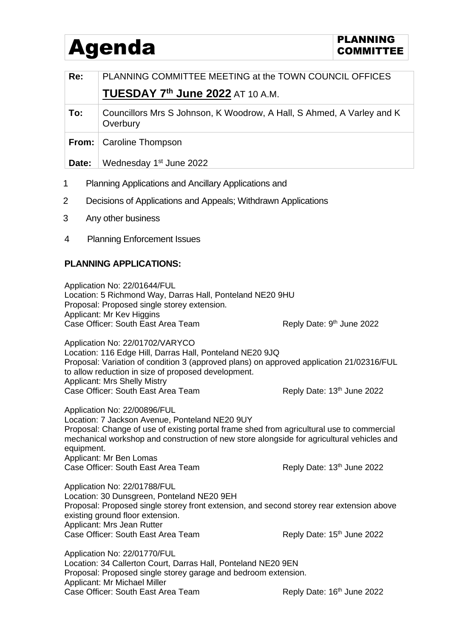## Agenda **PLANNING** PLANNING

| Re:                                                       | PLANNING COMMITTEE MEETING at the TOWN COUNCIL OFFICES                            |
|-----------------------------------------------------------|-----------------------------------------------------------------------------------|
|                                                           | TUESDAY 7th June 2022 AT 10 A.M.                                                  |
| To:                                                       | Councillors Mrs S Johnson, K Woodrow, A Hall, S Ahmed, A Varley and K<br>Overbury |
|                                                           | <b>From:</b>   Caroline Thompson                                                  |
| Date:                                                     | Wednesday 1 <sup>st</sup> June 2022                                               |
| 1<br>Planning Applications and Ancillary Applications and |                                                                                   |

- 2 Decisions of Applications and Appeals; Withdrawn Applications
- 3 Any other business
- 4 Planning Enforcement Issues

## **PLANNING APPLICATIONS:**

Application No: 22/01644/FUL Location: 5 Richmond Way, Darras Hall, Ponteland NE20 9HU Proposal: Proposed single storey extension. Applicant: Mr Key Higgins Case Officer: South East Area Team Reply Date: 9<sup>th</sup> June 2022

Application No: 22/01702/VARYCO Location: 116 Edge Hill, Darras Hall, Ponteland NE20 9JQ Proposal: Variation of condition 3 (approved plans) on approved application 21/02316/FUL to allow reduction in size of proposed development. Applicant: Mrs Shelly Mistry Case Officer: South East Area Team Reply Date: 13<sup>th</sup> June 2022

Application No: 22/00896/FUL Location: 7 Jackson Avenue, Ponteland NE20 9UY Proposal: Change of use of existing portal frame shed from agricultural use to commercial mechanical workshop and construction of new store alongside for agricultural vehicles and equipment. Applicant: Mr Ben Lomas Case Officer: South East Area Team Reply Date: 13<sup>th</sup> June 2022

Application No: 22/01788/FUL Location: 30 Dunsgreen, Ponteland NE20 9EH Proposal: Proposed single storey front extension, and second storey rear extension above existing ground floor extension. Applicant: Mrs Jean Rutter Case Officer: South East Area Team Reply Date: 15<sup>th</sup> June 2022

Application No: 22/01770/FUL Location: 34 Callerton Court, Darras Hall, Ponteland NE20 9EN Proposal: Proposed single storey garage and bedroom extension. Applicant: Mr Michael Miller Case Officer: South East Area Team Reply Date: 16<sup>th</sup> June 2022